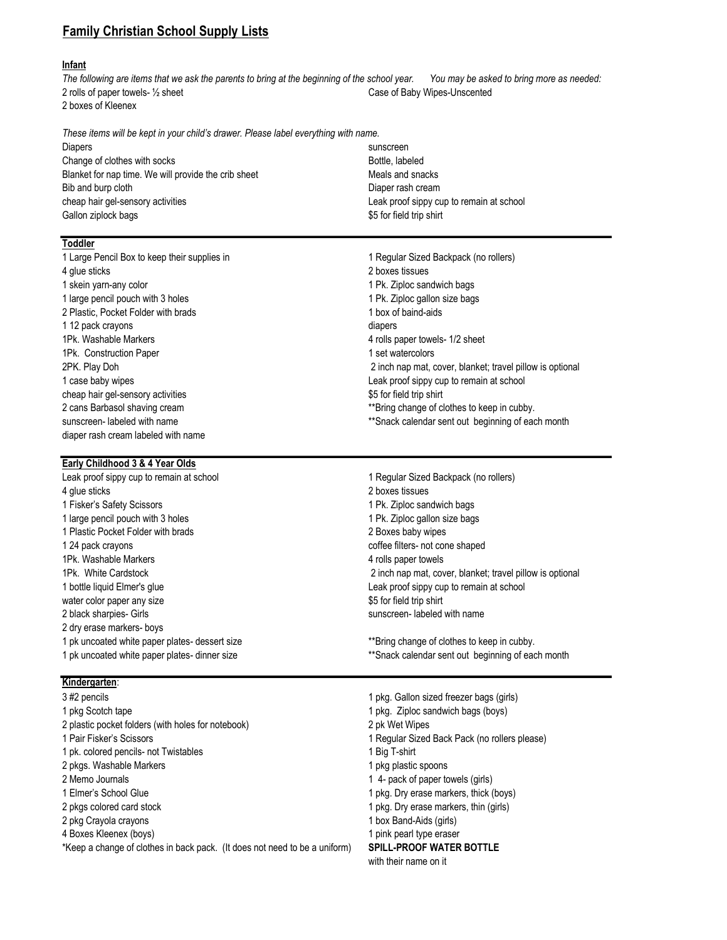# Family Christian School Supply Lists

## Infant

The following are items that we ask the parents to bring at the beginning of the school year. You may be asked to bring more as needed: 2 rolls of paper towels- 1/2 sheet Case of Baby Wipes-Unscented 2 boxes of Kleenex

These items will be kept in your child's drawer. Please label everything with name.

Diapers sunscreen Change of clothes with socks Bottle, labeled Blanket for nap time. We will provide the crib sheet Meals and snacks Bib and burp cloth Diaper rash cream cheap hair gel-sensory activities Leak proof sippy cup to remain at school Gallon ziplock bags **but a struck of the shirt** shirt  $\frac{1}{2}$  and  $\frac{1}{2}$  for field trip shirt

#### **Toddler**

4 glue sticks 2 boxes tissues 1 skein yarn-any color 1 Pk. Ziploc sandwich bags 1 large pencil pouch with 3 holes 1 Pk. Ziploc gallon size bags 2 Plastic, Pocket Folder with brads 1 box of baind-aids 1 12 pack crayons diapers 1Pk. Washable Markers **Accord 2 rolls paper towels-** 1/2 sheet 1Pk. Construction Paper 1 set watercolors cheap hair gel-sensory activities **\$5** for field trip shirt diaper rash cream labeled with name

1 Large Pencil Box to keep their supplies in 1 Regular Sized Backpack (no rollers) 2PK. Play Doh 2 inch nap mat, cover, blanket; travel pillow is optional 1 case baby wipes Leak proof sippy cup to remain at school 2 cans Barbasol shaving cream \*\*Bring change of clothes to keep in cubby. sunscreen- labeled with name the sum of the state of the state of the state of the state of the state of the state of the state of the state of the state of the state of the state of the state of the state of the state of

### Early Childhood 3 & 4 Year Olds

Leak proof sippy cup to remain at school 1 Regular Sized Backpack (no rollers) 4 glue sticks 2 boxes tissues 1 Fisker's Safety Scissors 1 Pk. Ziploc sandwich bags 1 large pencil pouch with 3 holes 1 Pk. Ziploc gallon size bags 1 Plastic Pocket Folder with brads 2 Boxes baby wipes 1 24 pack crayons coffee filters- not cone shaped 1Pk. Washable Markers **Accord 2 rolls paper towels** 4 rolls paper towels 1 bottle liquid Elmer's glue Leak proof sippy cup to remain at school water color paper any size **\$5** for field trip shirt 2 black sharpies- Girls sunscreen- labeled with name 2 dry erase markers- boys 1 pk uncoated white paper plates- dessert size \*\*Bring change of clothes to keep in cubby.

1Pk. White Cardstock 2 inch nap mat, cover, blanket; travel pillow is optional

1 pk uncoated white paper plates- dinner size \*\*Snack calendar sent out beginning of each month

#### Kindergarten:

3 #2 pencils 1 pkg. Gallon sized freezer bags (girls) 1 pkg Scotch tape 1 pkg. Ziploc sandwich bags (boys) 2 plastic pocket folders (with holes for notebook) 2 pk Wet Wipes 1 Pair Fisker's Scissors 1 Regular Sized Back Pack (no rollers please) 1 pk. colored pencils- not Twistables 1 Big T-shirt 2 pkgs. Washable Markers 1 pkg plastic spoons 2 Memo Journals 2 Memo Journals 2 Memo Journals 2 Memo Journals 2 Memo Journals 2 Memo Journals 2 Memo Journals 2 Memo Journals 2 Memo Journals 2 Memo Journals 2 Memo Journals 2 Memo Journals 2 Memo Journals 2 Memo Journal 1 Elmer's School Glue 1 pkg. Dry erase markers, thick (boys) 2 pkgs colored card stock 1 pkg colored card stock 1 pkg colored card stock 1 pkg. Dry erase markers, thin (girls) 2 pkg Crayola crayons 1 box Band-Aids (girls) 4 Boxes Kleenex (boys) 1 pink pearl type eraser \*Keep a change of clothes in back pack. (It does not need to be a uniform) SPILL-PROOF WATER BOTTLE

- 
- 
- 
- 
- 
- 
- 
- 
- 
- 
- 

with their name on it